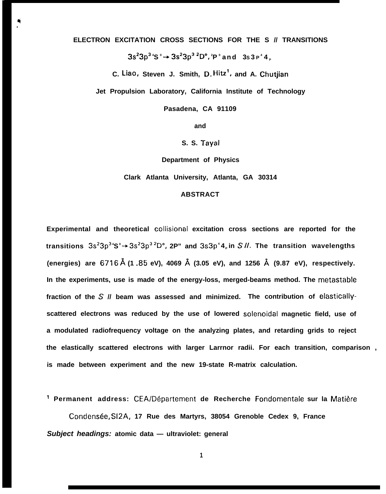**ELECTRON EXCITATION CROSS SECTIONS FOR THE S // TRANSITIONS**

**3S23P3<sup>4</sup>S <sup>0</sup>+ 3S23P3 2D",<sup>2</sup>P <sup>0</sup>and 3S 3 P <sup>4</sup>4 <sup>P</sup>**

**C. Liao, Steven J. Smith, D, Hitz', and A. Chutjian**

**Jet Propulsion Laboratory, California Institute of Technology**

**Pasadena, CA 91109**

**and**

**S. S. Tayal**

**Department of Physics**

**Clark Atlanta University, Atlanta, GA 30314**

#### **ABSTRACT**

**Experimental and theoretical collisional excitation cross sections are reported for the transitions 3S23P3<sup>4</sup>S <sup>0</sup>+ 3S23P3 2D", 2P" and 3S3P <sup>4</sup>4 <sup>P</sup>in S //, The transition wavelengths (energies) are 6716 ~ (1 .85 eV), 4069 ~ (3.05 eV), and 1256 ~ (9.87 eV), respectively. In the experiments, use is made of the energy-loss, merged-beams method. The rnetastable fraction of the S // beam was assessed and minimized. The contribution of elasticallyscattered electrons was reduced by the use of lowered solenoidal magnetic field, use of a modulated radiofrequency voltage on the analyzing plates, and retarding grids to reject the elastically scattered electrons with larger Larrnor radii. For each transition, comparison , is made between experiment and the new 19-state R-matrix calculation.**

**' Permanent address: CEA/D6partement de Recherche Fondomentale sur la Mati&e**

**Condens6e, S12A, 17 Rue des Martyrs, 38054 Grenoble Cedex 9, France Subject headings: atomic data — ultraviolet: general**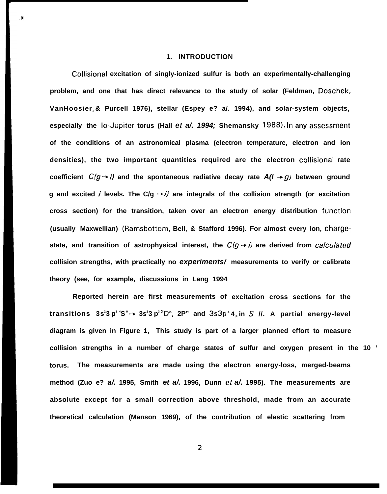#### **1. INTRODUCTION**

**Collisional excitation of singly-ionized sulfur is both an experimentally-challenging problem, and one that has direct relevance to the study of solar (Feldman, Doschek, VanHoosier <sup>J</sup>& Purcell 1976), stellar (Espey e? a/. 1994), and solar-system objects, especially the Io-Jupiter torus (Hall et a/. 1994; Shemansky 1988). In any assessmerlt of the conditions of an astronomical plasma (electron temperature, electron and ion densities), the two important quantities required are the electron collisional rate** coefficient  $C(g \rightarrow i)$  and the spontaneous radiative decay rate  $A(i \rightarrow g)$  between ground **g and excited / levels. The C/g -+ i) are integrals of the collision strength (or excitation** cross section) for the transition, taken over an electron energy distribution function **(usually Maxwellian) (Ramsbottom, Bell, & Stafford 1996). For almost every ion, chargestate, and transition of astrophysical interest, the**  $C(q \rightarrow i)$  **are derived from** *calculated* **collision strengths, with practically no experiments/ measurements to verify or calibrate theory (see, for example, discussions in Lang 1994**

**Reported herein are first measurements of excitation cross sections for the transitions 3s 2 3 p 3 4S <sup>0</sup>-+ 3s<sup>2</sup> 3 p <sup>3</sup>2D", 2P" and 3s3p <sup>4</sup>4 <sup>P</sup>in S //. A partial energy-level diagram is given in Figure 1, This study is part of a larger planned effort to measure collision strengths in a number of charge states of sulfur and oxygen present in the 10 ' torus. The measurements are made using the electron energy-loss, merged-beams method (Zuo e? a/. 1995, Smith et a/. 1996, Dunn et a/. 1995). The measurements are absolute except for a small correction above threshold, made from an accurate theoretical calculation (Manson 1969), of the contribution of elastic scattering from**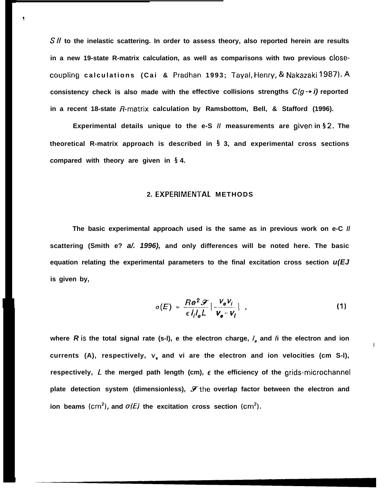**S// to the inelastic scattering. In order to assess theory, also reported herein are results in a new 19-state R-matrix calculation, as well as comparisons with two previous closecoupiing calculations (Cai & Pradhan 1993; T'ayal, Henry, & Nakazaki 1987). A consistency check is also made with the effective collisions strengths C/g -+ i) reported** in a recent 18-state R-matrix calculation by Ramsbottom, Bell, & Stafford (1996).

1

**Experimental details unique to the e-S // measurements are given in § 2. The theoretical R-matrix approach is described in 5 3, and experimental cross sections compared with theory are given in 5 4.**

### **2. EXPERIMEN1"AL METHODS**

**The basic experimental approach used is the same as in previous work on e-C // scattering (Smith e? a/. 1996), and only differences will be noted here. The basic equation relating the experimental parameters to the final excitation cross section u(EJ is given by,**

$$
\sigma(E) = \frac{Re^2 \mathcal{F}}{\epsilon l_l l_g L} \left| \frac{V_{\theta} V_l}{V_{\theta} - V_l} \right| , \qquad (1)
$$

**#**

where  $\vec{R}$  is the total signal rate (s-l), e the electron charge,  $\hat{l}_e$  and  $\hat{l}$  the electron and ion **currents (A), respectively, v. and vi are the electron and ion velocities (cm S-l), respectively, L the merged path length (cm), c the efficiency of the grids-microchannel plate detection system (dimensionless), %the overlap factor between the electron and ion beams**  $(\text{cm}^2)$ , and  $\sigma(E)$  the excitation cross section  $(\text{cm}^2)$ .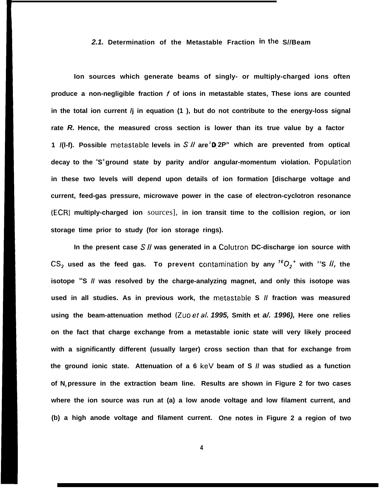### **2.1. Determination of the Metastable Fraction inthe S//Beam**

**Ion sources which generate beams of singly- or multiply-charged ions often produce a non-negligible fraction f of ions in metastable states, These ions are counted in the total ion current /j in equation (1 ), but do not contribute to the energy-loss signal rate R. Hence, the measured cross section is lower than its true value by a factor 1 /(l-f). Possible metastable levels in S// are D<sup>2</sup>0, 2P" which are prevented from optical decay to the <sup>4</sup>S <sup>0</sup>ground state by parity and/or angular-momentum violation. Populaticm in these two levels will depend upon details of ion formation [discharge voltage and current, feed-gas pressure, microwave power in the case of electron-cyclotron resonance (ECR) multiply-charged ion** sources], **in ion transit time to the collision region, or ion storage time prior to study (for ion storage rings).**

**In the present case S// was generated in a Colutron DC-discharge ion source with**  $CS_2$  used as the feed gas. To prevent contamination by any  ${}^{16}O_2$ <sup>+</sup> with  ${}^{32}S$  //, the **isotope <sup>34</sup>S // was resolved by the charge-analyzing magnet, and only this isotope was used in all studies. As in previous work, the metastable S // fraction was measured using the beam-attenuation method (Zuo eta/. 1995, Smith et a/. 1996), Here one relies on the fact that charge exchange from a metastable ionic state will very likely proceed with a significantly different (usually larger) cross section than that for exchange from the ground ionic state. Attenuation of a 6 keV beam of S // was studied as a function of N2 pressure in the extraction beam line. Results are shown in Figure 2 for two cases where the ion source was run at (a) a low anode voltage and low filament current, and (b) a high anode voltage and filament current. One notes in Figure 2 a region of two**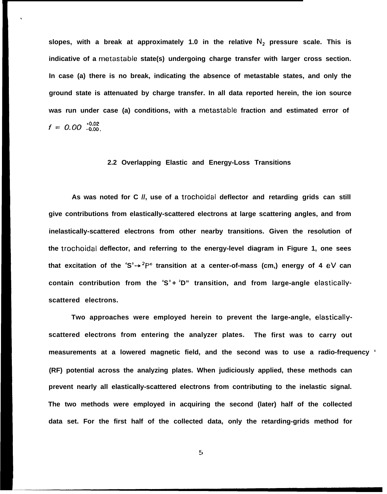slopes, with a break at approximately 1.0 in the relative  $N<sub>2</sub>$  pressure scale. This is **indicative of a metastable state(s) undergoing charge transfer with larger cross section. In case (a) there is no break, indicating the absence of metastable states, and only the ground state is attenuated by charge transfer. In all data reported herein, the ion source was run under case (a) conditions, with a metastable fraction and estimated error of**  $f = 0.00^{+0.02}_{-0.00}$ 

### **2.2 Overlapping Elastic and Energy-Loss Transitions**

**As was noted for C //, use of a trochoidal deflector and retarding grids can still give contributions from elastically-scattered electrons at large scattering angles, and from inelastically-scattered electrons from other nearby transitions. Given the resolution of the trochoidal deflector, and referring to the energy-level diagram in Figure 1, one sees that excitation of the <sup>4</sup>S <sup>0</sup>+ 2P" transition at a center-of-mass (cm,) energy of 4 eV can** contain contribution from the 'S<sup>°</sup> + <sup>2</sup>D" transition, and from large-angle elastically **scattered electrons.**

**Two approaches were employed herein to prevent the large-angle, elasticallyscattered electrons from entering the analyzer plates. The first was to carry out measurements at a lowered magnetic field, and the second was to use a radio-frequency ' (RF) potential across the analyzing plates. When judiciously applied, these methods can prevent nearly all elastically-scattered electrons from contributing to the inelastic signal. The two methods were employed in acquiring the second (later) half of the collected data set. For the first half of the collected data, only the retarding-grids method for**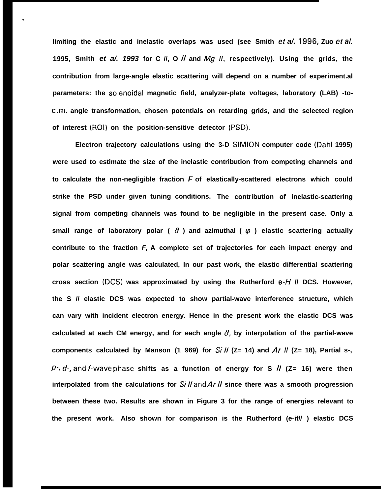**limiting the elastic and inelastic overlaps was used (see Smith et a/.** 1996, **Zuo et td. 1995, Smith et a/. 1993 for C //, O // and Mg //, respectively). Using the grids, the contribution from large-angle elastic scattering will depend on a number of experiment.al parameters: the solenoidal magnetic field, analyzer-plate voltages, laboratory (LAB) -toc.m. angle transformation, chosen potentials on retarding grids, and the selected region of interest (ROI) on the position-sensitive detector (PSD).**

\*

**Electron trajectory calculations using the 3-D SIMION computer code (Dahl 1995) were used to estimate the size of the inelastic contribution from competing channels and to calculate the non-negligible fraction F of elastically-scattered electrons which could strike the PSD under given tuning conditions. The contribution of inelastic-scattering signal from competing channels was found to be negligible in the present case. Only a** small range of laboratory polar ( $\theta$ ) and azimuthal ( $\varphi$ ) elastic scattering actually **contribute to the fraction F, A complete set of trajectories for each impact energy and polar scattering angle was calculated, In our past work, the elastic differential scattering** cross section (DCS) was approximated by using the Rutherford  $e$ -*H II* DCS. However, **the S // elastic DCS was expected to show partial-wave interference structure, which can vary with incident electron energy. Hence in the present work the elastic DCS was calculated at each CM energy, and for each angle 8, by interpolation of the partial-wave components calculated by Manson (1 969) for Si// (Z= 14) and Ar // (Z= 18), Partial s-, P**-, *d*-, and *f*-wave phase shifts as a function of energy for S  $\hat{I}$  (Z= 16) were then interpolated from the calculations for  $Si$  *ll* and  $Ar$  *ll* since there was a smooth progression **between these two. Results are shown in Figure 3 for the range of energies relevant to the present work. Also shown for comparison is the Rutherford (e-if// ) elastic DCS**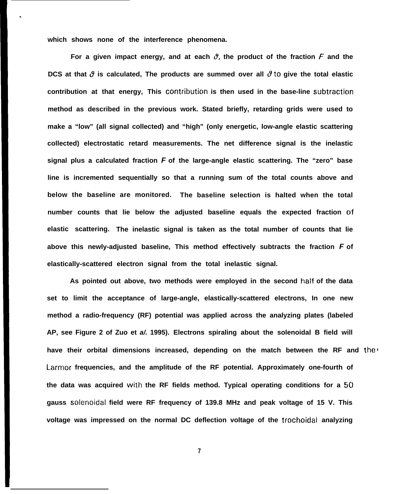**which shows none of the interference phenomena.**

.

For a given impact energy, and at each  $\vartheta$ , the product of the fraction F and the **DCS** at that  $\vartheta$  is calculated, The products are summed over all  $\vartheta$  to give the total elastic **contribution at that energy, This contribution is then used in the base-line subtraction method as described in the previous work. Stated briefly, retarding grids were used to make a "low" (all signal collected) and "high" (only energetic, low-angle elastic scattering collected) electrostatic retard measurements. The net difference signal is the inelastic signal plus a calculated fraction F of the large-angle elastic scattering. The "zero" base line is incremented sequentially so that a running sum of the total counts above and below the baseline are monitored. The baseline selection is halted when the total number counts that lie below the adjusted baseline equals the expected fraction c)f elastic scattering. The inelastic signal is taken as the total number of counts that lie above this newly-adjusted baseline, This method effectively subtracts the fraction F of elastically-scattered electron signal from the total inelastic signal.**

**As pointed out above, two methods were employed in the second half of the data set to limit the acceptance of large-angle, elastically-scattered electrons, In one new method a radio-frequency (RF) potential was applied across the analyzing plates (labeled AP, see Figure 2 of Zuo et a/. 1995). Electrons spiraling about the solenoidal B field will** have their orbital dimensions increased, depending on the match between the RF and the<sup>1</sup> **Larmor frequencies, and the amplitude of the RF potential. Approximately one-fourth of the data was acquired with the RF fields method. Typical operating conditions for a 50 gauss solenoidal field were RF frequency of 139.8 MHz and peak voltage of 15 V. This voltage was impressed on the normal DC deflection voltage of the trochoidal analyzing**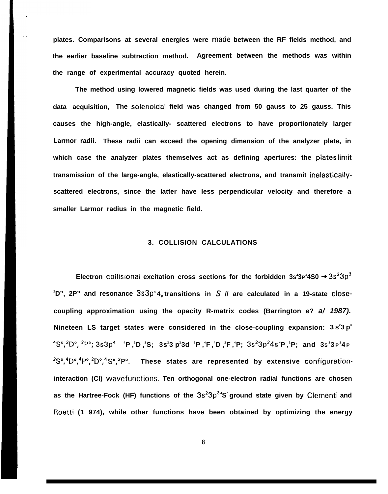**plates. Comparisons at several energies were made between the RF fields method, and the earlier baseline subtraction method. Agreement between the methods was within the range of experimental accuracy quoted herein.**

**The method using lowered magnetic fields was used during the last quarter of the data acquisition, The solenoidai field was changed from 50 gauss to 25 gauss. This causes the high-angle, elastically- scattered electrons to have proportionately larger Larmor radii. These radii can exceed the opening dimension of the analyzer plate, in which case the analyzer plates themselves act as defining apertures: the plates limit transmission of the large-angle, elastically-scattered electrons, and transmit inelasticallyscattered electrons, since the latter have less perpendicular velocity and therefore a smaller Larmor radius in the magnetic field.**

#### **3. COLLISION CALCULATIONS**

**Electron** collisional excitation cross sections for the forbidden 3s<sup>2</sup>3P<sup>3</sup>4S0 → 3s<sup>2</sup>3p<sup>3</sup>  $2^2D''$ , 2P" and resonance  $3s3p^4A$ <sub>*s*</sub> transitions in S  $\parallel$  are calculated in a 19-state close**coupling approximation using the opacity R-matrix codes (Barrington e? a/ 1987). Nineteen LS target states were considered in the close-coupling expansion: 3 s 2 3 p 3 4S0,2D0, zP0; 3s3p4 <sup>4</sup>P , <sup>2</sup>D , <sup>2</sup>S; 3s 2 3 p 2 3d <sup>2</sup>P , 4 F , <sup>4</sup>D , 2 F , <sup>4</sup>P; 3S23P24S<sup>4</sup>P , <sup>2</sup>P; and 3S 2 3 P 2 4 P 2S",4D",4P",2D",4 S",2P". These states are represented by extensive configurationinteraction (Cl) wavefunctions, Ten orthogonal one-electron radial functions are chosen as the Hartree-Fock (HF) functions of the 3s?3p3<sup>4</sup>S <sup>0</sup>ground state given by Clementi and Roetti (1 974), while other functions have been obtained by optimizing the energy**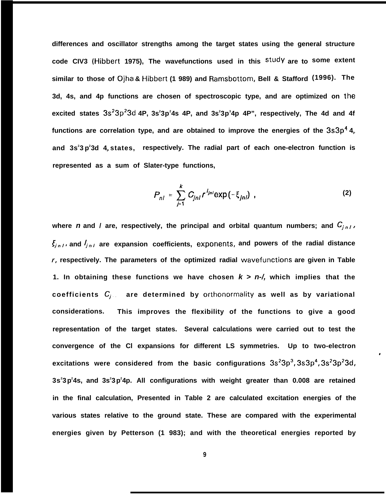**differences and oscillator strengths among the target states using the general structure code CIV3 (Hibbert 1975), The wavefunctions used in this studY are to some extent similar to those of Ojha & Hibbert (1 989) and Ramsbottom, Bell & Stafford (1996). The 3d, 4s, and 4p functions are chosen of spectroscopic type, and are optimized on the excited states 3s23p23d 4P, 3s<sup>2</sup> 3p<sup>2</sup> 4s 4P, and 3s<sup>2</sup> 3p<sup>3</sup> 4p 4P", respectively, The 4d and 4f** functions are correlation type, and are obtained to improve the energies of the  $3s3p^44$ **P and 3s<sup>2</sup> 3 p 2 3d 4P states, respectively. The radial part of each one-electron function is represented as a sum of Slater-type functions,**

$$
P_{nl} = \sum_{j=1}^{k} C_{jnl} r^{l_{jnl}} \exp(-\xi_{jnl}) \tag{2}
$$

**I**

where **n** and l are, respectively, the principal and orbital quantum numbers; and  $C_{i n l}$ ,  $\xi_{j,n,l}$ , and  $I_{j,n,l}$  are expansion coefficients, exponents, and powers of the radial distance **r, respectively. The parameters of the optimized radial wavefunctions are given in Table 1. In obtaining these functions we have chosen k > n-/, which implies that the coefficients Cj . , are determined by orthonormality as well as by variational considerations. This improves the flexibility of the functions to give a good representation of the target states. Several calculations were carried out to test the convergence of the Cl expansions for different LS symmetries. Up to two-electron excitations were considered from the basic configurations 3S23P3, 3S3P4, 3s23p23d, 3s<sup>2</sup> 3p 2 4s, and 3s<sup>2</sup> 3p 2 4p. All configurations with weight greater than 0.008 are retained in the final calculation, Presented in Table 2 are calculated excitation energies of the various states relative to the ground state. These are compared with the experimental energies given by Petterson (1 983); and with the theoretical energies reported by**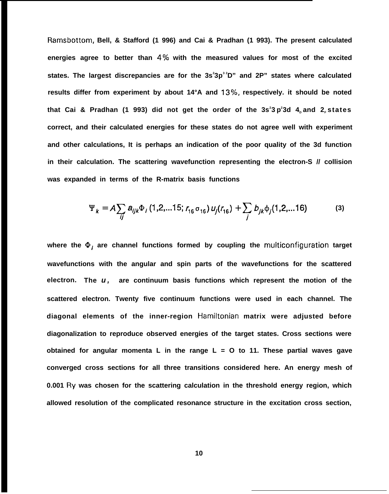**Ramsbottom, Bell, & Stafford (1 996) and Cai & Pradhan (1 993). The present calculated** energies agree to better than 4% with the measured values for most of the excited **states. The largest discrepancies are for the 3s<sup>2</sup> 3p3 2D" and 2P" states where calculated** results differ from experiment by about 14°A and 13%, respectively. it should be noted **that Cai & Pradhan (1 993) did not get the order of the 3s<sup>2</sup> 3 p 2 3d 4D and 2F states correct, and their calculated energies for these states do not agree well with experiment and other calculations, It is perhaps an indication of the poor quality of the 3d function in their calculation. The scattering wavefunction representing the electron-S // collision was expanded in terms of the R-matrix basis functions**

$$
\Psi_{k} = A \sum_{ij} a_{ijk} \Phi_{i} (1, 2, \dots 15; r_{16} \sigma_{16}) u_{j}(r_{16}) + \sum_{j} b_{jk} \Phi_{j} (1, 2, \dots 16) \tag{3}
$$

**where the 0, are channel functions formed by coupling the multiconfiguration target wavefunctions with the angular and spin parts of the wavefunctions for the scattered electron. The u , are continuum basis functions which represent the motion of the scattered electron. Twenty five continuum functions were used in each channel. The diagonal elements of the inner-region Hamiltonian matrix were adjusted before diagonalization to reproduce observed energies of the target states. Cross sections were obtained for angular momenta L in the range L = O to 11. These partial waves gave converged cross sections for all three transitions considered here. An energy mesh of 0.001 Ry was chosen for the scattering calculation in the threshold energy region, which allowed resolution of the complicated resonance structure in the excitation cross section,**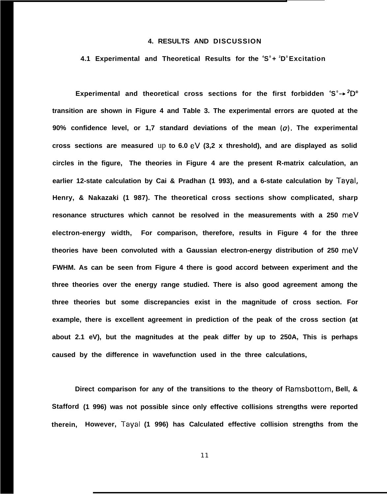## **4. RESULTS AND DISCUSSION**

#### **4.1 Experimental and Theoretical Results for the <sup>4</sup>S <sup>0</sup>+ <sup>2</sup>D <sup>0</sup>Excitation**

**Experimental and theoretical cross sections for the first forbidden <sup>4</sup>S <sup>0</sup>+ 2D" transition are shown in Figure 4 and Table 3. The experimental errors are quoted at the 90% confidence level, or 1,7 standard deviations of the mean (o), The experimental cross sections are measured** up **to 6.0 eV (3,2 x threshold), and are displayed as solid circles in the figure, The theories in Figure 4 are the present R-matrix calculation, an earlier 12-state calculation by Cai & Pradhan (1 993), and a 6-state calculation by Tayal, Henry, & Nakazaki (1 987). The theoretical cross sections show complicated, sharp resonance structures which cannot be resolved in the measurements with a 250 meV electron-energy width, For comparison, therefore, results in Figure 4 for the three theories have been convoluted with a Gaussian electron-energy distribution of 250 rneV FWHM. As can be seen from Figure 4 there is good accord between experiment and the three theories over the energy range studied. There is also good agreement among the three theories but some discrepancies exist in the magnitude of cross section. For example, there is excellent agreement in prediction of the peak of the cross section (at about 2.1 eV), but the magnitudes at the peak differ by up to 250A, This is perhaps caused by the difference in wavefunction used in the three calculations,**

**Direct comparison for any of the transitions to the theory of Ramsbottom, Bell, & Stafford (1 996) was not possible since only effective collisions strengths were reported therein, However, Tayal (1 996) has Calculated effective collision strengths from the**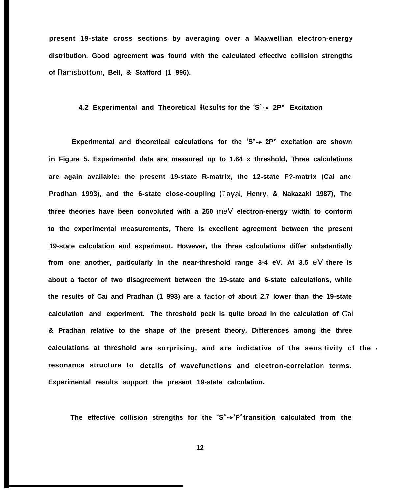**present 19-state cross sections by averaging over a Maxwellian electron-energy distribution. Good agreement was found with the calculated effective collision strengths of Ramsbottom, Bell, & Stafford (1 996).**

# **4.2 Experimental and Theoretical F{esults for the <sup>4</sup>S <sup>0</sup>+ 2P" Excitation**

Experimental and theoretical calculations for the <sup>4</sup>S<sup>°</sup>→ 2P" excitation are shown **in Figure 5. Experimental data are measured up to 1.64 x threshold, Three calculations are again available: the present 19-state R-matrix, the 12-state F?-matrix (Cai and Pradhan 1993), and the 6-state close-coupling (Tayal, Henry, & Nakazaki 1987), The three theories have been convoluted with a 250 meV electron-energy width to conform to the experimental measurements, There is excellent agreement between the present 19-state calculation and experiment. However, the three calculations differ substantially from one another, particularly in the near-threshold range 3-4 eV. At 3.5 eV there is about a factor of two disagreement between the 19-state and 6-state calculations, while** the results of Cai and Pradhan (1 993) are a factor of about 2.7 lower than the 19-state **calculation and experiment. The threshold peak is quite broad in the calculation of Cai & Pradhan relative to the shape of the present theory. Differences among the three calculations at threshold are surprising, and are indicative of the sensitivity of the <sup>~</sup>** resonance structure to details of wavefunctions and electron-correlation terms. **Experimental results support the present 19-state calculation.**

**The effective collision strengths for the <sup>4</sup>S 0 + <sup>2</sup>P <sup>0</sup>transition calculated from the**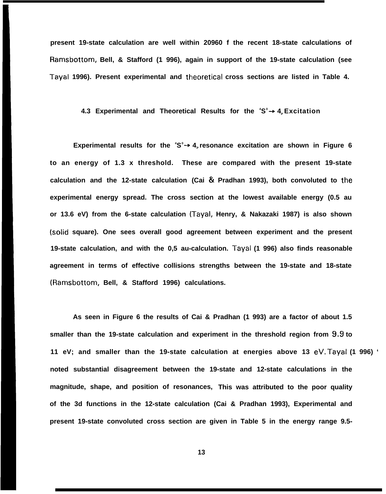**present 19-state calculation are well within 20960 f the recent 18-state calculations of Ramsbottom, Bell, & Stafford (1 996), again in support of the 19-state calculation (see** Tayal 1996). Present experimental and theoretical cross sections are listed in Table 4.

# **4.3 Experimental and Theoretical Results for the <sup>4</sup>S <sup>0</sup>+ 4P Excitation**

Experimental results for the 'S<sup>°</sup> + 4<sub>p</sub> resonance excitation are shown in Figure 6 **to an energy of 1.3 x threshold. These are compared with the present 19-state calculation and the 12-state calculation (Cai & Pradhan 1993), both convoluted to the experimental energy spread. The cross section at the lowest available energy (0.5 au or 13.6 eV) from the 6-state calculation (Tayal, Henry, & Nakazaki 1987) is also shown (solid square). One sees overall good agreement between experiment and the present 19-state calculation, and with the 0,5 au-calculation. Tayal (1 996) also finds reasonable agreement in terms of effective collisions strengths between the 19-state and 18-state (Ramsbottom, Bell, & Stafford 1996) calculations.**

**As seen in Figure 6 the results of Cai & Pradhan (1 993) are a factor of about 1.5 smaller than the 19-state calculation and experiment in the threshold region from 9,9 to 11 eV; and smaller than the 19-state calculation at energies above 13 eV, Tayal (1 996) ' noted substantial disagreement between the 19-state and 12-state calculations in the magnitude, shape, and position of resonances, This was attributed to the poor quality of the 3d functions in the 12-state calculation (Cai & Pradhan 1993), Experimental and present 19-state convoluted cross section are given in Table 5 in the energy range 9.5-**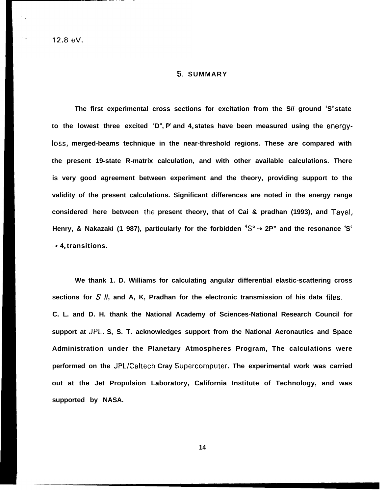#### $5.$  SUMMARY

**The first experimental cross sections for excitation from the S// ground <sup>4</sup>S <sup>0</sup>state** to the lowest three excited <sup>2</sup>D<sup>°</sup>, P° and 4<sub>P</sub> states have been measured using the <code>energy</code> **Ioss, merged-beams technique in the near-threshold regions. These are compared with the present 19-state R-matrix calculation, and with other available calculations. There is very good agreement between experiment and the theory, providing support to the validity of the present calculations. Significant differences are noted in the energy range considered here between the present theory, that of Cai & pradhan (1993), and Tayal, Henry, & Nakazaki (1 987), particularly for the forbidden 4S0+ 2P" and the resonance <sup>4</sup>S 0**  $\rightarrow$  4<sup> $\mu$ </sup> transitions.

**We thank 1. D. Williams for calculating angular differential elastic-scattering cross sections for S //, and A, K, Pradhan for the electronic transmission of his data files, C. L. and D. H. thank the National Academy of Sciences-National Research Council for support at JPL, S, S. T. acknowledges support from the National Aeronautics and Space Administration under the Planetary Atmospheres Program, The calculations were performed on the JPL/Caltech Cray Supercomputer, The experimental work was carried out at the Jet Propulsion Laboratory, California Institute of Technology, and was supported by NASA.**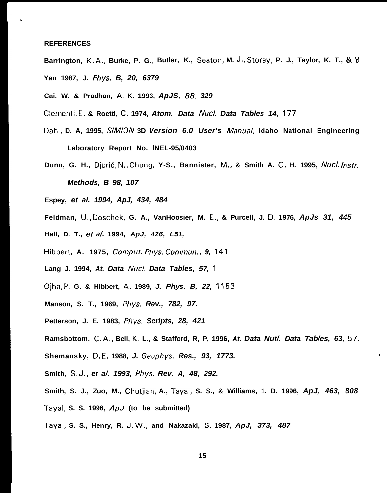### **REFERENCES**

.

- **Barrington, K.A., Burke, P. G., Butler, K., Seaton, M. J., Storey, P. J., Taylor, K. T., & M Yan 1987, J. Phys. B, 20, 6379**
- **Cai, W. & Pradhan, A. K. 1993, ApJS, 88, 329**
- **Clementi, E, & Roetti, C, 1974, Atom. Data Nucl. Data Tables 14, 177**
- **Dahl, D. A, 1995, S/A4/ON 3D Version 6.0 User's Manua/, Idaho National Engineering Laboratory Report No. lNEL-95/0403**
- **Dunn, G. H., Djurid, N., Chung, Y-S., Bannister, M., & Smith A. C. H. 1995, Nuc/. /nstr. Methods, B 98, 107**
- **Espey, et al. 1994, ApJ, 434, 484**
- **Feldman, U,, Doschek, G. A., VanHoosier, M. E,, & Purcell, J. D. 1976, ApJs 31, 445**
- **Hall, D. T., et a/. 1994, ApJ, 426, L51,**
- **Hibbert, A. 1975, Comput. Phys. Commun., 9, 141**
- **Lang J. 1994, At. Data Nucl. Data Tables, 57, <sup>1</sup>**
- **Ojha, P, G. & Hibbert, A, 1989, J. Phys. B, 22, 1153**
- **Manson, S. T., 1969, Phys. Rev., 782, 97.**
- **Petterson, J. E. 1983, Phys. Scripts, 28, 421**
- **Ramsbottom, C. A,, Bell, K, L., & Stafford, R, P, 1996, At. Data Nut/. Data Tab/es, 63, 57.**
- **Shemansky, D. E, 1988, J. Geophys. Res., 93, 1773. \***
- **Smith, S, J,, et a/. 1993, Phys. Rev. A, 48, 292.**
- **Smith, S. J., Zuo, M., Chutjian, A., Tayal, S. S., & Williams, 1. D. 1996, ApJ, 463, 808**
- **Tayal, S. S. 1996, ApJ (to be submitted)**
- **Tayal, S. S., Henry, R. J, W,, and Nakazaki, S, 1987, ApJ, 373, 487**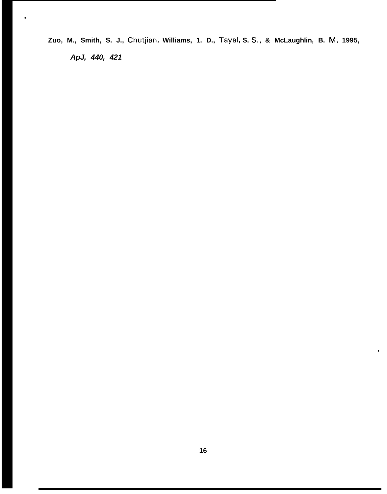**Zuo, M., Smith, S. J., Chutjian, Williams, 1. D., Tayal, S. S,, & McLaughlin, B. M. 1995, ApJ, 440, 421**

.

 $\bullet$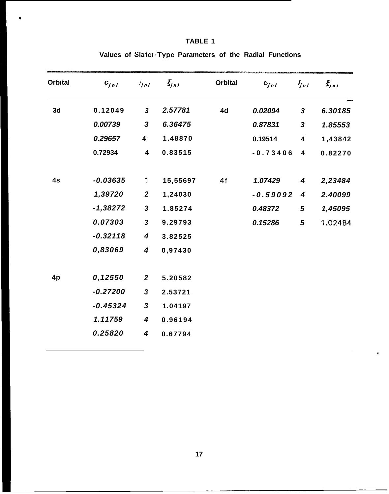| <b>Orbital</b> | $C_{jnl}$  | $\frac{1}{\pi}$         | $\zeta_{j,n}$ | <b>Orbital</b> | $c_{jnl}$  | $l_{jnl}$               | $\mathcal{E}_{j,n}$ |
|----------------|------------|-------------------------|---------------|----------------|------------|-------------------------|---------------------|
| 3d             | 0.12049    | $\mathbf{3}$            | 2.57781       | 4d             | 0.02094    | 3                       | 6.30185             |
|                | 0.00739    | 3                       | 6.36475       |                | 0.87831    | $\mathbf{3}$            | 1.85553             |
|                | 0.29657    | $\overline{\mathbf{4}}$ | 1.48870       |                | 0.19514    | $\overline{\mathbf{4}}$ | 1,43842             |
|                | 0.72934    | 4                       | 0.83515       |                | $-0.73406$ | 4                       | 0.82270             |
| 4s             | $-0.03635$ | 1                       | 15,55697      | 4f             | 1.07429    | $\boldsymbol{4}$        | 2,23484             |
|                | 1,39720    | $\boldsymbol{2}$        | 1,24030       |                | $-0.59092$ | 4                       | 2.40099             |
|                | $-1,38272$ | $\mathbf{3}$            | 1.85274       |                | 0.48372    | 5                       | 1,45095             |
|                | 0.07303    | $\mathbf{3}$            | 9.29793       |                | 0.15286    | $\mathbf{5}$            | 1.02484             |
|                | $-0.32118$ | 4                       | 3.82525       |                |            |                         |                     |
|                | 0,83069    | 4                       | 0,97430       |                |            |                         |                     |
| 4p             | 0,12550    | $\overline{2}$          | 5.20582       |                |            |                         |                     |
|                | $-0.27200$ | $\boldsymbol{3}$        | 2.53721       |                |            |                         |                     |
|                | $-0.45324$ | $\mathbf{3}$            | 1.04197       |                |            |                         |                     |
|                | 1.11759    | $\boldsymbol{4}$        | 0.96194       |                |            |                         |                     |
|                | 0.25820    | $\boldsymbol{4}$        | 0.67794       |                |            |                         |                     |

## **TABLE 1**

w

**Values of Slater-Type Parameters of the Radial Functions**

\*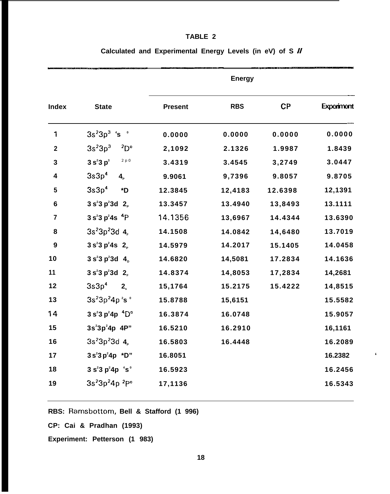# **TABLE 2**

|                         |                                                    | <b>Energy</b>  |            |         |            |  |
|-------------------------|----------------------------------------------------|----------------|------------|---------|------------|--|
| <b>Index</b>            | <b>State</b>                                       | <b>Present</b> | <b>RBS</b> | CP      | Experiment |  |
| 1                       | $3s23p3$ 's $^{\circ}$                             | 0.0000         | 0.0000     | 0.0000  | 0.0000     |  |
| $\overline{\mathbf{2}}$ | 3s <sup>2</sup> 3p <sup>3</sup><br>$^{2}D^{\circ}$ | 2,1092         | 2.1326     | 1.9987  | 1.8439     |  |
| 3                       | 2 p 0<br>$3s^23p^3$                                | 3.4319         | 3.4545     | 3,2749  | 3.0447     |  |
| 4                       | 3s3p <sup>4</sup><br>$\mathbf{4}_{\mathrm{p}}$     | 9.9061         | 9,7396     | 9.8057  | 9.8705     |  |
| $5\phantom{a}$          | 3s3p <sup>4</sup><br>*D                            | 12.3845        | 12,4183    | 12.6398 | 12,1391    |  |
| $\bf 6$                 | 3 s <sup>2</sup> 3 p <sup>2</sup> 3 d 2            | 13.3457        | 13.4940    | 13,8493 | 13.1111    |  |
| $\overline{7}$          | $3 s23 p24s 4P$                                    | 14.1356        | 13,6967    | 14.4344 | 13.6390    |  |
| 8                       | $3s^{2}3p^{2}3d$ 4.                                | 14.1508        | 14.0842    | 14,6480 | 13.7019    |  |
| $\boldsymbol{9}$        | $3 s2 3 p2 4s 2p$                                  | 14.5979        | 14.2017    | 15.1405 | 14.0458    |  |
| 10                      | $3 s2 3 p2 3 d 4b$                                 | 14.6820        | 14,5081    | 17.2834 | 14.1636    |  |
| 11                      | $3 s2 3 p2 3 d 2F$                                 | 14.8374        | 14,8053    | 17,2834 | 14,2681    |  |
| 12                      | 3s3p <sup>4</sup><br>2 <sub>s</sub>                | 15,1764        | 15.2175    | 15.4222 | 14,8515    |  |
| 13                      | $3s23p24p2so$                                      | 15.8788        | 15,6151    |         | 15.5582    |  |
| 14                      | $3 s23 p24p 4Do$                                   | 16.3874        | 16.0748    |         | 15.9057    |  |
| 15                      | $3s^23p^24p 4P''$                                  | 16.5210        | 16.2910    |         | 16,1161    |  |
| 16                      | $3s^{2}3p^{2}3d$ 4,                                | 16.5803        | 16.4448    |         | 16.2089    |  |
| 17                      | $3s^{2}3p^{2}4p *D"$                               | 16.8051        |            |         | 16.2382    |  |
| 18                      | $3s^{2}3p^{2}4p$ $s^{0}$                           | 16.5923        |            |         | 16.2456    |  |
| 19                      | $3s^{2}3p^{2}4p^{2}P^{o}$                          | 17,1136        |            |         | 16.5343    |  |
|                         |                                                    |                |            |         |            |  |

# **Calculated and Experimental Energy Levels (in eV) of S //**

**RBS: Ramsbottom, Bell & Stafford (1 996)**

**CP: Cai & Pradhan (1993)**

**Experiment: Petterson (1 983)**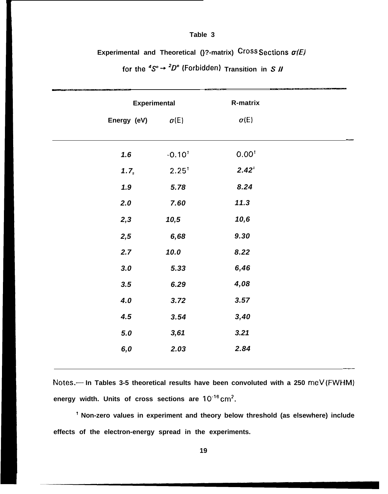#### Table 3

Experimental and Theoretical ( $}$ ?-matrix) Cross Sections  $\sigma(E)$ 

| <b>Experimental</b> |                  | R-matrix          |
|---------------------|------------------|-------------------|
| Energy (eV)         | $\sigma(E)$      | $\sigma(E)$       |
| 1.6                 | $-0.10^{1}$      | 0.00 <sup>t</sup> |
| 1.7 <sub>5</sub>    | $2.25^{\dagger}$ | $2.42^{\circ}$    |
| 1.9                 | 5.78             | 8.24              |
| 2.0                 | 7.60             | 11.3              |
| 2,3                 | 10,5             | 10,6              |
| 2,5                 | 6,68             | 9.30              |
| 2.7                 | 10.0             | 8.22              |
| 3.0                 | 5.33             | 6,46              |
| 3.5                 | 6.29             | 4,08              |
| 4.0                 | 3.72             | 3.57              |
| 4.5                 | 3.54             | 3,40              |
| $5.0$               | 3,61             | 3.21              |
| 6,0                 | 2.03             | 2.84              |

for the  ${}^4S^{\circ} \rightarrow {}^2D^{\circ}$  (Forbidden) Transition in S *II* 

Notes.--- In Tables 3-5 theoretical results have been convoluted with a 250 meV (FWHM) energy width. Units of cross sections are 10<sup>-16</sup> cm<sup>2</sup>.

<sup>1</sup> Non-zero values in experiment and theory below threshold (as elsewhere) include effects of the electron-energy spread in the experiments.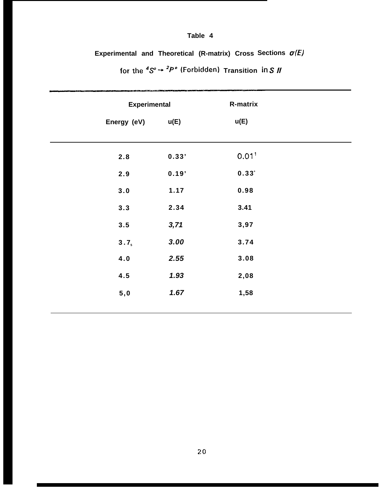# **Table 4**

**Experimental and Theoretical (R-matrix) Cross Sections o(E)**

| <b>Experimental</b> |       | R-matrix            |
|---------------------|-------|---------------------|
| Energy (eV)         | u(E)  | u(E)                |
|                     |       |                     |
| 2.8                 | 0.33' | $0.01$ <sup>t</sup> |
| 2.9                 | 0.19' | $0.33^{+}$          |
| 3.0                 | 1.17  | 0.98                |
| 3.3                 | 2.34  | 3.41                |
| 3.5                 | 3,71  | 3,97                |
| 3.7 <sub>5</sub>    | 3.00  | 3.74                |
| 4.0                 | 2.55  | 3.08                |
| 4.5                 | 1.93  | 2,08                |
| 5,0                 | 1.67  | 1,58                |
|                     |       |                     |

for the  ${}^4S^{\circ} \rightarrow {}^2P^{\circ}$  (Forbidden) Transition in S *II*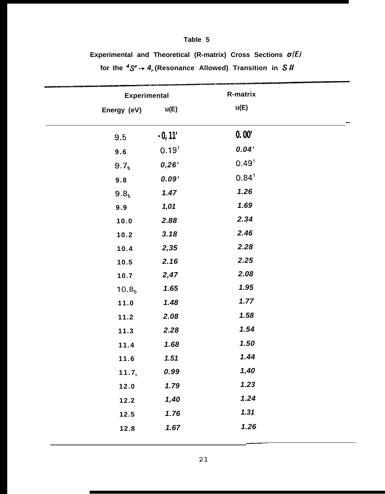# **Table 5**

Experimental and Theoretical (R-matrix) Cross Sections  $\sigma(E)$ 

**for the 4S' -+ 4P (Resonance Allowed) Transition in S //**

|                   | <b>Experimental</b> | R-matrix            |  |
|-------------------|---------------------|---------------------|--|
| Energy (eV)       | u(E)                | u(E)                |  |
| 9.5               | $-0, 11'$           | 0.00'               |  |
| 9.6               | $0.19^{t}$          | 0.04'               |  |
| 9.7 <sub>5</sub>  | 0,26'               | $0.49$ <sup>1</sup> |  |
| 9.8               | 0.09'               | $0.84^{\dagger}$    |  |
| 9.8 <sub>5</sub>  | 1.47                | 1.26                |  |
| 9.9               | 1,01                | 1.69                |  |
| 10.0              | 2.88                | 2.34                |  |
| 10.2              | 3.18                | 2.46                |  |
| 10.4              | 2,35                | 2.28                |  |
| 10.5              | 2.16                | 2.25                |  |
| 10.7              | 2,47                | 2.08                |  |
| 10.8 <sub>5</sub> | 1.65                | 1.95                |  |
| 11.0              | 1.48                | 1.77                |  |
| 11.2              | 2.08                | 1.58                |  |
| 11.3              | 2.28                | 1.54                |  |
| 11.4              | 1.68                | 1.50                |  |
| 11.6              | 1.51                | 1.44                |  |
| 11.7 <sub>s</sub> | 0.99                | 1,40                |  |
| 12.0              | 1.79                | 1.23                |  |
| 12.2              | 1,40                | 1.24                |  |
| 12.5              | 1.76                | 1.31                |  |
| 12.8              | 1.67                | 1.26                |  |
|                   |                     |                     |  |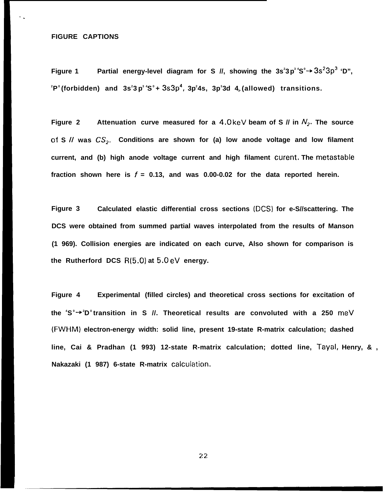## **FIGURE CAPTIONS**

. .

**Figure 1 Partial energy-level diagram for S //, showing the 3s<sup>2</sup> 3p 3 4S <sup>0</sup>+ 3S23P3 'D",**  $^{\circ}$ P $^{\circ}$ (forbidden) and 3s $^{\circ}$ 3p $^{\circ}$ ʻS $^{\circ}$ +3s3p $^{\circ}$ ,3p $^{\circ}$ 4s,3p $^{\circ}$ 3d 4 $_{\circ}$ (allowed) transitions.

**Figure 2** Attenuation curve measured for a 4.0 keV beam of S  $\parallel$  in  $N_2$ . The source **of S II was CS~. Conditions are shown for (a) low anode voltage and low filament current, and (b) high anode voltage current and high filament curent. The metastable** fraction shown here is  $f = 0.13$ , and was 0.00-0.02 for the data reported herein.

**Figure 3 Calculated elastic differential cross sections (DCS) for e-S//scattering. The DCS were obtained from summed partial waves interpolated from the results of Manson (1 969). Collision energies are indicated on each curve, Also shown for comparison is the Rutherford DCS R(5.0) at 5.0 eV energy.**

**Figure 4 Experimental (filled circles) and theoretical cross sections for excitation of the <sup>4</sup>S 0 + <sup>2</sup>D <sup>0</sup>transition in S //. Theoretical results are convoluted with a 250 meV (FWHM) electron-energy width: solid line, present 19-state R-matrix calculation; dashed line, Cai & Pradhan (1 993) 12-state R-matrix calculation; dotted line, Tayal, Henry, & , Nakazaki (1 987) 6-state R-matrix calculatic)n.**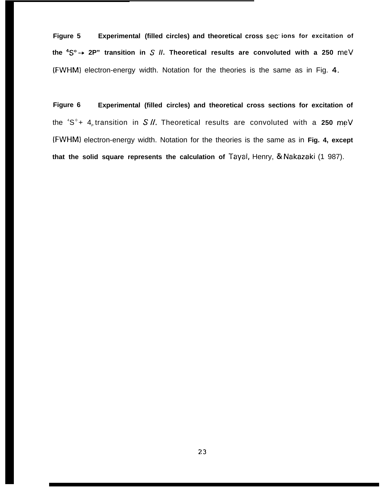**Figure 5 Experimental (filled circles) and theoretical cross sec. ions for excitation of the 4S0 + 2P" transition in S //. Theoretical results are convoluted with a 250** meV (FWHM) electron-energy width. Notation for the theories is the same as in Fig. 4.

**Figure 6 Experimental (filled circles) and theoretical cross sections for excitation of** the <sup>4</sup>S°+ 4<sub>P</sub> transition in S II. Theoretical results are convoluted with a **250** meV **(FWHM)** electron-energy width. Notation for the theories is the same as in **Fig. 4, except that the solid square represents the calculation of** Tayal, Henry, & Nakazaki (1 987).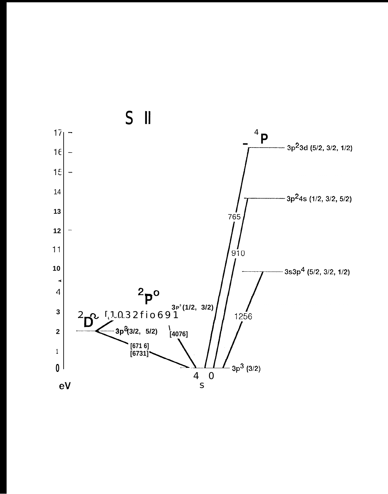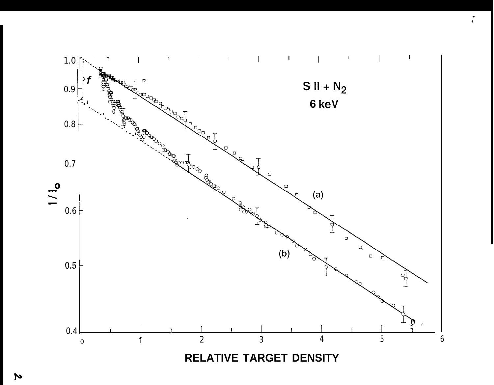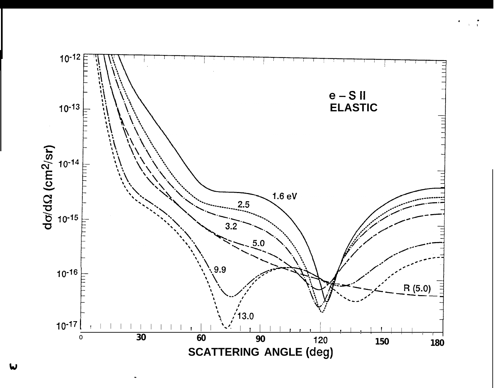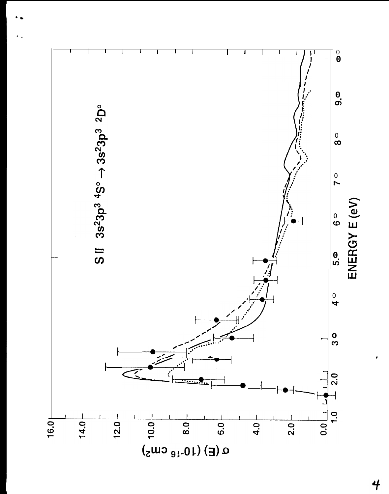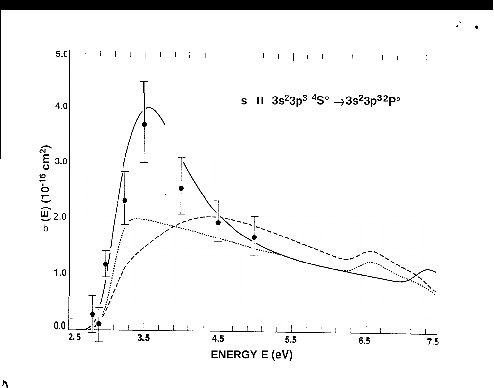



 $\lambda$ 

 $5.0$